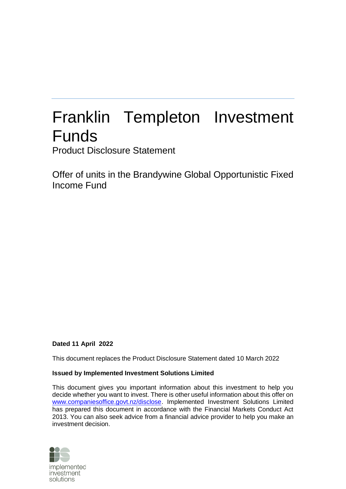# Franklin Templeton Investment Funds

Product Disclosure Statement

Offer of units in the Brandywine Global Opportunistic Fixed Income Fund

### **Dated 11 April 2022**

This document replaces the Product Disclosure Statement dated 10 March 2022

### **Issued by Implemented Investment Solutions Limited**

This document gives you important information about this investment to help you decide whether you want to invest. There is other useful information about this offer on [www.companiesoffice.govt.nz/disclose.](file:///C:/Users/justine.gainsford/AppData/Local/Microsoft/Windows/Temporary%20Internet%20Files/Content.Outlook/33VEJF1E/www.companiesoffice.govt.nz/disclose) Implemented Investment Solutions Limited has prepared this document in accordance with the Financial Markets Conduct Act 2013. You can also seek advice from a financial advice provider to help you make an investment decision.

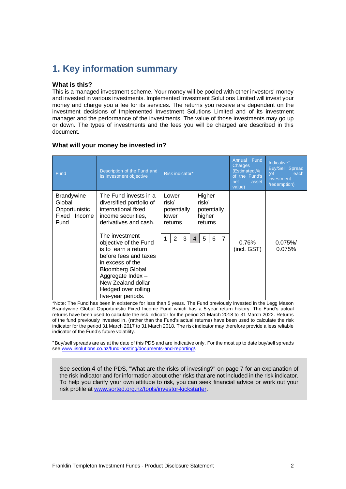# **1. Key information summary**

### **What is this?**

This is a managed investment scheme. Your money will be pooled with other investors' money and invested in various investments. Implemented Investment Solutions Limited will invest your money and charge you a fee for its services. The returns you receive are dependent on the investment decisions of Implemented Investment Solutions Limited and of its investment manager and the performance of the investments. The value of those investments may go up or down. The types of investments and the fees you will be charged are described in this document.

| Fund                                                                 | Description of the Fund and<br>its investment objective                                                                                                                                                                                                                                                                                                  | Risk indicator*                                                                                                                                                               | Annual Fund<br>Charges<br>(Estimated,%<br>of the Fund's<br>net<br>asset<br>value) | Indicative <sup>+</sup><br><b>Buy/Sell Spread</b><br>$($ of<br>each<br>investment<br>/redemption) |
|----------------------------------------------------------------------|----------------------------------------------------------------------------------------------------------------------------------------------------------------------------------------------------------------------------------------------------------------------------------------------------------------------------------------------------------|-------------------------------------------------------------------------------------------------------------------------------------------------------------------------------|-----------------------------------------------------------------------------------|---------------------------------------------------------------------------------------------------|
| <b>Brandywine</b><br>Global<br>Opportunistic<br>Fixed Income<br>Fund | The Fund invests in a<br>diversified portfolio of<br>international fixed<br>income securities.<br>derivatives and cash.<br>The investment<br>objective of the Fund<br>is to earn a return<br>before fees and taxes<br>in excess of the<br><b>Bloomberg Global</b><br>Aggregate Index-<br>New Zealand dollar<br>Hedged over rolling<br>five-year periods. | Higher<br>Lower<br>risk/<br>risk/<br>potentially<br>potentially<br>higher<br>lower<br>returns<br>returns<br>$\overline{2}$<br>$\overline{7}$<br>3<br>5<br>6<br>$\overline{4}$ | $0.76\%$<br>(incl. GST)                                                           | 0.075%<br>0.075%                                                                                  |

### **What will your money be invested in?**

\*Note: The Fund has been in existence for less than 5 years. The Fund previously invested in the Legg Mason Brandywine Global Opportunistic Fixed Income Fund which has a 5-year return history. The Fund's actual returns have been used to calculate the risk indicator for the period 31 March 2018 to 31 March 2022. Returns of the fund previously invested in, (rather than the Fund's actual returns) have been used to calculate the risk indicator for the period 31 March 2017 to 31 March 2018. The risk indicator may therefore provide a less reliable indicator of the Fund's future volatility.

<sup>+</sup>Buy/sell spreads are as at the date of this PDS and are indicative only. For the most up to date buy/sell spreads see [www.iisolutions.co.nz/fund-hosting/documents-and-reporting/.](http://www.iisolutions.co.nz/fund-hosting/documents-and-reporting/)

See section [4](#page-6-0) of the PDS, ["What are the risks of investing?"](#page-6-0) on page [7](#page-6-0) for an explanation of the risk indicator and for information about other risks that are not included in the risk indicator. To help you clarify your own attitude to risk, you can seek financial advice or work out your risk profile at [www.sorted.org.nz/tools/investor-kickstarter.](http://www.sorted.org.nz/tools/investor-kickstarter)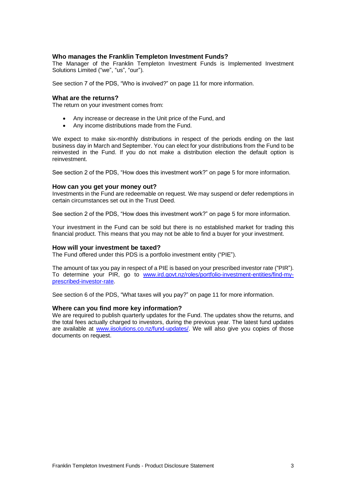### **Who manages the Franklin Templeton Investment Funds?**

The Manager of the Franklin Templeton Investment Funds is Implemented Investment Solutions Limited ("we", "us", "our").

See section 7 of the PDS, "Who is involved?" on page [11](#page-10-0) for more information.

### **What are the returns?**

The return on your investment comes from:

- Any increase or decrease in the Unit price of the Fund, and
- Any income distributions made from the Fund.

We expect to make six-monthly distributions in respect of the periods ending on the last business day in March and September. You can elect for your distributions from the Fund to be reinvested in the Fund. If you do not make a distribution election the default option is reinvestment.

See section 2 of the PDS, "How does this investment work?" on page [5](#page-4-0) for more information.

### **How can you get your money out?**

Investments in the Fund are redeemable on request. We may suspend or defer redemptions in certain circumstances set out in the Trust Deed.

See section 2 of the PDS, "How does this investment work?" on page [5](#page-4-0) for more information.

Your investment in the Fund can be sold but there is no established market for trading this financial product. This means that you may not be able to find a buyer for your investment.

#### **How will your investment be taxed?**

The Fund offered under this PDS is a portfolio investment entity ("PIE").

The amount of tax you pay in respect of a PIE is based on your prescribed investor rate ("PIR"). To determine your PIR, go to [www.ird.govt.nz/roles/portfolio-investment-entities/find-my](http://www.ird.govt.nz/roles/portfolio-investment-entities/find-my-prescribed-investor-rate)[prescribed-investor-rate.](http://www.ird.govt.nz/roles/portfolio-investment-entities/find-my-prescribed-investor-rate)

See section 6 of the PDS, "What taxes will you pay?" on page [11](#page-10-1) for more information.

### **Where can you find more key information?**

We are required to publish quarterly updates for the Fund. The updates show the returns, and the total fees actually charged to investors, during the previous year. The latest fund updates are available at www.iisolutions.co.nz/fund-updates/. We will also give you copies of those documents on request.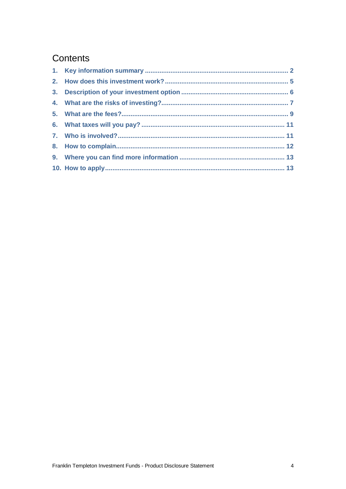# Contents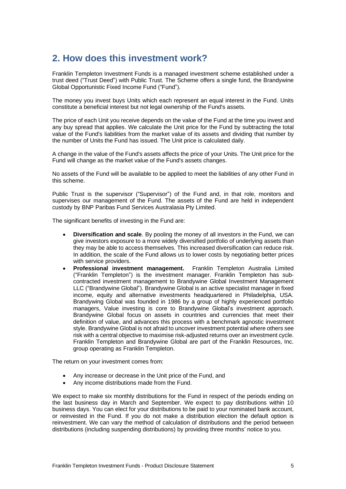# <span id="page-4-0"></span>**2. How does this investment work?**

Franklin Templeton Investment Funds is a managed investment scheme established under a trust deed ("Trust Deed") with Public Trust. The Scheme offers a single fund, the Brandywine Global Opportunistic Fixed Income Fund ("Fund").

The money you invest buys Units which each represent an equal interest in the Fund. Units constitute a beneficial interest but not legal ownership of the Fund's assets.

The price of each Unit you receive depends on the value of the Fund at the time you invest and any buy spread that applies. We calculate the Unit price for the Fund by subtracting the total value of the Fund's liabilities from the market value of its assets and dividing that number by the number of Units the Fund has issued. The Unit price is calculated daily.

A change in the value of the Fund's assets affects the price of your Units. The Unit price for the Fund will change as the market value of the Fund's assets changes.

No assets of the Fund will be available to be applied to meet the liabilities of any other Fund in this scheme.

Public Trust is the supervisor ("Supervisor") of the Fund and, in that role, monitors and supervises our management of the Fund. The assets of the Fund are held in independent custody by BNP Paribas Fund Services Australasia Pty Limited.

The significant benefits of investing in the Fund are:

- **Diversification and scale**. By pooling the money of all investors in the Fund, we can give investors exposure to a more widely diversified portfolio of underlying assets than they may be able to access themselves. This increased diversification can reduce risk. In addition, the scale of the Fund allows us to lower costs by negotiating better prices with service providers.
- **Professional investment management.** Franklin Templeton Australia Limited ("Franklin Templeton") is the investment manager. Franklin Templeton has subcontracted investment management to Brandywine Global Investment Management LLC ("Brandywine Global"). Brandywine Global is an active specialist manager in fixed income, equity and alternative investments headquartered in Philadelphia, USA. Brandywing Global was founded in 1986 by a group of highly experienced portfolio managers, Value investing is core to Brandywine Global's investment approach. Brandywine Global focus on assets in countries and currencies that meet their definition of value, and advances this process with a benchmark agnostic investment style. Brandywine Global is not afraid to uncover investment potential where others see risk with a central objective to maximise risk-adjusted returns over an investment cycle. Franklin Templeton and Brandywine Global are part of the Franklin Resources, Inc. group operating as Franklin Templeton.

The return on your investment comes from:

- Any increase or decrease in the Unit price of the Fund, and
- Any income distributions made from the Fund.

We expect to make six monthly distributions for the Fund in respect of the periods ending on the last business day in March and September. We expect to pay distributions within 10 business days. You can elect for your distributions to be paid to your nominated bank account, or reinvested in the Fund. If you do not make a distribution election the default option is reinvestment. We can vary the method of calculation of distributions and the period between distributions (including suspending distributions) by providing three months' notice to you.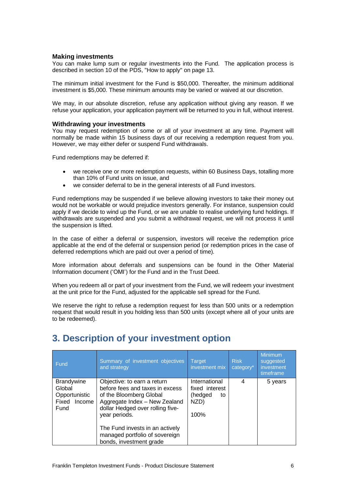### **Making investments**

You can make lump sum or regular investments into the Fund. The application process is described in section [10](#page-12-0) of the PDS, ["How to apply"](#page-12-0) on page [13.](#page-12-0)

The minimum initial investment for the Fund is \$50,000. Thereafter, the minimum additional investment is \$5,000. These minimum amounts may be varied or waived at our discretion.

We may, in our absolute discretion, refuse any application without giving any reason. If we refuse your application, your application payment will be returned to you in full, without interest.

### **Withdrawing your investments**

You may request redemption of some or all of your investment at any time. Payment will normally be made within 15 business days of our receiving a redemption request from you. However, we may either defer or suspend Fund withdrawals.

Fund redemptions may be deferred if:

- we receive one or more redemption requests, within 60 Business Days, totalling more than 10% of Fund units on issue, and
- we consider deferral to be in the general interests of all Fund investors.

Fund redemptions may be suspended if we believe allowing investors to take their money out would not be workable or would prejudice investors generally. For instance, suspension could apply if we decide to wind up the Fund, or we are unable to realise underlying fund holdings. If withdrawals are suspended and you submit a withdrawal request, we will not process it until the suspension is lifted.

In the case of either a deferral or suspension, investors will receive the redemption price applicable at the end of the deferral or suspension period (or redemption prices in the case of deferred redemptions which are paid out over a period of time).

More information about deferrals and suspensions can be found in the Other Material Information document ('OMI') for the Fund and in the Trust Deed.

When you redeem all or part of your investment from the Fund, we will redeem your investment at the unit price for the Fund, adjusted for the applicable sell spread for the Fund.

We reserve the right to refuse a redemption request for less than 500 units or a redemption request that would result in you holding less than 500 units (except where all of your units are to be redeemed).

| Summary of investment objectives<br>and strategy                                                                           | <b>Target</b><br>investment mix                             | <b>Risk</b><br>category <sup>*</sup> | Minimum<br>suggested<br>investment<br>timeframe |
|----------------------------------------------------------------------------------------------------------------------------|-------------------------------------------------------------|--------------------------------------|-------------------------------------------------|
| Objective: to earn a return<br>before fees and taxes in excess<br>of the Bloomberg Global<br>Aggregate Index - New Zealand | International<br>fixed interest<br>(hedged<br>to<br>NZD)    | 4                                    | 5 years                                         |
| year periods.<br>The Fund invests in an actively<br>managed portfolio of sovereign                                         | 100%                                                        |                                      |                                                 |
|                                                                                                                            | dollar Hedged over rolling five-<br>bonds, investment grade |                                      |                                                 |

# **3. Description of your investment option**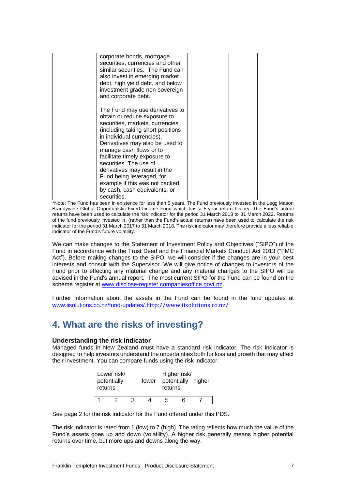| corporate bonds, mortgage<br>securities, currencies and other<br>similar securities. The Fund can<br>also invest in emerging market<br>debt, high yield debt, and below<br>investment grade non-sovereign<br>and corporate debt.                                                                                                                                                               |  |  |
|------------------------------------------------------------------------------------------------------------------------------------------------------------------------------------------------------------------------------------------------------------------------------------------------------------------------------------------------------------------------------------------------|--|--|
| The Fund may use derivatives to<br>obtain or reduce exposure to<br>securities, markets, currencies<br>(including taking short positions<br>in individual currencies).<br>Derivatives may also be used to<br>manage cash flows or to<br>facilitate timely exposure to<br>securities. The use of<br>derivatives may result in the<br>Fund being leveraged, for<br>example if this was not backed |  |  |
| by cash, cash equivalents, or<br>securities.                                                                                                                                                                                                                                                                                                                                                   |  |  |

\*Note: The Fund has been in existence for less than 5 years. The Fund previously invested in the Legg Mason Brandywine Global Opportunistic Fixed Income Fund which has a 5-year return history. The Fund's actual returns have been used to calculate the risk indicator for the period 31 March 2018 to 31 March 2022. Returns of the fund previously invested in, (rather than the Fund's actual returns) have been used to calculate the risk indicator for the period 31 March 2017 to 31 March 2018. The risk indicator may therefore provide a less reliable indicator of the Fund's future volatility.

We can make changes to the Statement of Investment Policy and Objectives ("SIPO") of the Fund in accordance with the Trust Deed and the Financial Markets Conduct Act 2013 ("FMC Act"). Before making changes to the SIPO, we will consider if the changes are in your best interests and consult with the Supervisor. We will give notice of changes to investors of the Fund prior to effecting any material change and any material changes to the SIPO will be advised in the Fund's annual report. The most current SIPO for the Fund can be found on the scheme register at [www.disclose-register.companiesoffice.govt.nz.](http://www.disclose-register.companiesoffice.govt.nz/)

Further information about the assets in the Fund can be found in the fund updates at www.iisolutions.co.nz/fund-updates/.<http://www.iisolutions.co.nz/>

# <span id="page-6-0"></span>**4. What are the risks of investing?**

### **Understanding the risk indicator**

Managed funds in New Zealand must have a standard risk indicator. The risk indicator is designed to help investors understand the uncertainties both for loss and growth that may affect their investment. You can compare funds using the risk indicator.

| Lower risk/<br>potentially<br>returns |  |   | lower | Higher risk/<br>potentially higher<br>returns |     |  |
|---------------------------------------|--|---|-------|-----------------------------------------------|-----|--|
|                                       |  | ຈ |       |                                               | ี่ค |  |

See page 2 for the risk indicator for the Fund offered under this PDS.

The risk indicator is rated from 1 (low) to 7 (high). The rating reflects how much the value of the Fund's assets goes up and down (volatility). A higher risk generally means higher potential returns over time, but more ups and downs along the way.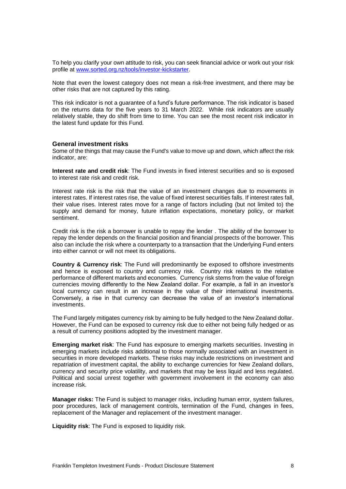To help you clarify your own attitude to risk, you can seek financial advice or work out your risk profile at [www.sorted.org.nz/tools/investor-kickstarter.](http://www.sorted.org.nz/tools/investor-kickstarter)

Note that even the lowest category does not mean a risk-free investment, and there may be other risks that are not captured by this rating.

This risk indicator is not a guarantee of a fund's future performance. The risk indicator is based on the returns data for the five years to 31 March 2022. While risk indicators are usually relatively stable, they do shift from time to time. You can see the most recent risk indicator in the latest fund update for this Fund.

### **General investment risks**

Some of the things that may cause the Fund's value to move up and down, which affect the risk indicator, are:

**Interest rate and credit risk**: The Fund invests in fixed interest securities and so is exposed to interest rate risk and credit risk.

Interest rate risk is the risk that the value of an investment changes due to movements in interest rates. If interest rates rise, the value of fixed interest securities falls. If interest rates fall, their value rises. Interest rates move for a range of factors including (but not limited to) the supply and demand for money, future inflation expectations, monetary policy, or market sentiment.

Credit risk is the risk a borrower is unable to repay the lender . The ability of the borrower to repay the lender depends on the financial position and financial prospects of the borrower. This also can include the risk where a counterparty to a transaction that the Underlying Fund enters into either cannot or will not meet its obligations.

**Country & Currency risk**: The Fund will predominantly be exposed to offshore investments and hence is exposed to country and currency risk. Country risk relates to the relative performance of different markets and economies. Currency risk stems from the value of foreign currencies moving differently to the New Zealand dollar. For example, a fall in an investor's local currency can result in an increase in the value of their international investments. Conversely, a rise in that currency can decrease the value of an investor's international investments.

The Fund largely mitigates currency risk by aiming to be fully hedged to the New Zealand dollar. However, the Fund can be exposed to currency risk due to either not being fully hedged or as a result of currency positions adopted by the investment manager.

**Emerging market risk**: The Fund has exposure to emerging markets securities. Investing in emerging markets include risks additional to those normally associated with an investment in securities in more developed markets. These risks may include restrictions on investment and repatriation of investment capital, the ability to exchange currencies for New Zealand dollars, currency and security price volatility, and markets that may be less liquid and less regulated. Political and social unrest together with government involvement in the economy can also increase risk.

**Manager risks:** The Fund is subject to manager risks, including human error, system failures, poor procedures, lack of management controls, termination of the Fund, changes in fees, replacement of the Manager and replacement of the investment manager.

**Liquidity risk**: The Fund is exposed to liquidity risk.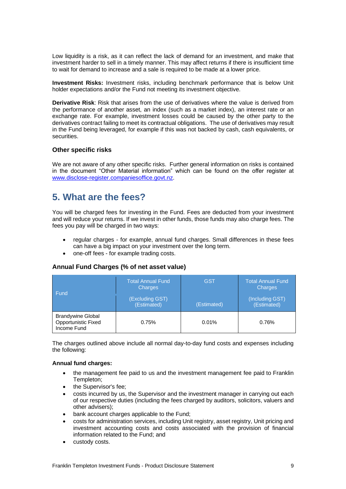Low liquidity is a risk, as it can reflect the lack of demand for an investment, and make that investment harder to sell in a timely manner. This may affect returns if there is insufficient time to wait for demand to increase and a sale is required to be made at a lower price.

**Investment Risks:** Investment risks, including benchmark performance that is below Unit holder expectations and/or the Fund not meeting its investment objective.

**Derivative Risk**: Risk that arises from the use of derivatives where the value is derived from the performance of another asset, an index (such as a market index), an interest rate or an exchange rate. For example, investment losses could be caused by the other party to the derivatives contract failing to meet its contractual obligations. The use of derivatives may result in the Fund being leveraged, for example if this was not backed by cash, cash equivalents, or securities.

### **Other specific risks**

We are not aware of any other specific risks. Further general information on risks is contained in the document "Other Material information" which can be found on the offer register at [www.disclose-register.companiesoffice.govt.nz.](http://www.disclose-register.companiesoffice.govt.nz/)

### **5. What are the fees?**

You will be charged fees for investing in the Fund. Fees are deducted from your investment and will reduce your returns. If we invest in other funds, those funds may also charge fees. The fees you pay will be charged in two ways:

- regular charges for example, annual fund charges. Small differences in these fees can have a big impact on your investment over the long term.
- one-off fees for example trading costs.

### **Annual Fund Charges (% of net asset value)**

| Fund                                                           | <b>Total Annual Fund</b><br>Charges<br>(Excluding GST)<br>(Estimated) | <b>GST</b><br>(Estimated) | <b>Total Annual Fund</b><br><b>Charges</b><br>(Including GST)<br>(Estimated) |
|----------------------------------------------------------------|-----------------------------------------------------------------------|---------------------------|------------------------------------------------------------------------------|
| <b>Brandywine Global</b><br>Opportunistic Fixed<br>Income Fund | 0.75%                                                                 | 0.01%                     | 0.76%                                                                        |

The charges outlined above include all normal day-to-day fund costs and expenses including the following:

### **Annual fund charges:**

- the management fee paid to us and the investment management fee paid to Franklin Templeton;
- the Supervisor's fee;
- costs incurred by us, the Supervisor and the investment manager in carrying out each of our respective duties (including the fees charged by auditors, solicitors, valuers and other advisers);
- bank account charges applicable to the Fund;
- costs for administration services, including Unit registry, asset registry, Unit pricing and investment accounting costs and costs associated with the provision of financial information related to the Fund; and
- custody costs.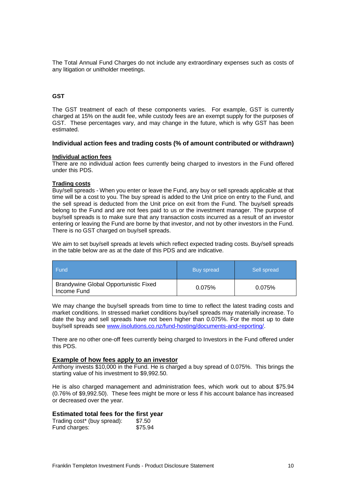The Total Annual Fund Charges do not include any extraordinary expenses such as costs of any litigation or unitholder meetings.

### **GST**

The GST treatment of each of these components varies. For example, GST is currently charged at 15% on the audit fee, while custody fees are an exempt supply for the purposes of GST. These percentages vary, and may change in the future, which is why GST has been estimated.

### **Individual action fees and trading costs (% of amount contributed or withdrawn)**

### **Individual action fees**

There are no individual action fees currently being charged to investors in the Fund offered under this PDS.

### **Trading costs**

Buy/sell spreads - When you enter or leave the Fund, any buy or sell spreads applicable at that time will be a cost to you. The buy spread is added to the Unit price on entry to the Fund, and the sell spread is deducted from the Unit price on exit from the Fund. The buy/sell spreads belong to the Fund and are not fees paid to us or the investment manager. The purpose of buy/sell spreads is to make sure that any transaction costs incurred as a result of an investor entering or leaving the Fund are borne by that investor, and not by other investors in the Fund. There is no GST charged on buy/sell spreads.

We aim to set buy/sell spreads at levels which reflect expected trading costs. Buy/sell spreads in the table below are as at the date of this PDS and are indicative.

| <b>Fund</b>                                                 | Buy spread | Sell spread |
|-------------------------------------------------------------|------------|-------------|
| <b>Brandywine Global Opportunistic Fixed</b><br>Income Fund | 0.075%     | 0.075%      |

We may change the buy/sell spreads from time to time to reflect the latest trading costs and market conditions. In stressed market conditions buy/sell spreads may materially increase. To date the buy and sell spreads have not been higher than 0.075%. For the most up to date buy/sell spreads see [www.iisolutions.co.nz/fund-hosting/documents-and-reporting/.](http://www.iisolutions.co.nz/fund-hosting/documents-and-reporting/)

There are no other one-off fees currently being charged to Investors in the Fund offered under this PDS.

#### **Example of how fees apply to an investor**

Anthony invests \$10,000 in the Fund. He is charged a buy spread of 0.075%. This brings the starting value of his investment to \$9,992.50.

He is also charged management and administration fees, which work out to about \$75.94 (0.76% of \$9,992.50). These fees might be more or less if his account balance has increased or decreased over the year.

### **Estimated total fees for the first year**

| Trading cost* (buy spread): | \$7.50  |
|-----------------------------|---------|
| Fund charges:               | \$75.94 |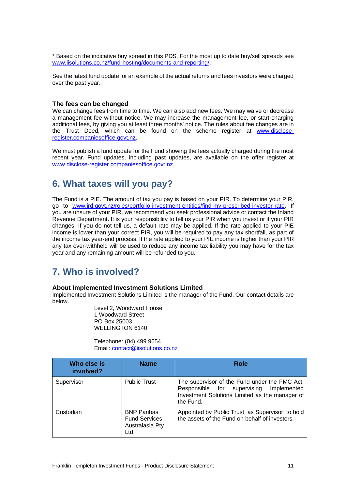\* Based on the indicative buy spread in this PDS. For the most up to date buy/sell spreads see [www.iisolutions.co.nz/fund-hosting/documents-and-reporting/.](http://www.iisolutions.co.nz/fund-hosting/documents-and-reporting/)

See the latest fund update for an example of the actual returns and fees investors were charged over the past year.

### **The fees can be changed**

We can change fees from time to time. We can also add new fees. We may waive or decrease a management fee without notice. We may increase the management fee, or start charging additional fees, by giving you at least three months' notice. The rules about fee changes are in the Trust Deed, which can be found on the scheme register at [www.disclose](http://www.disclose-register.companiesoffice.govt.nz/)[register.companiesoffice.govt.nz](http://www.disclose-register.companiesoffice.govt.nz/).

We must publish a fund update for the Fund showing the fees actually charged during the most recent year. Fund updates, including past updates, are available on the offer register at [www.disclose-register.companiesoffice.govt.nz](http://www.disclose-register.companiesoffice.govt.nz/).

### <span id="page-10-1"></span>**6. What taxes will you pay?**

The Fund is a PIE. The amount of tax you pay is based on your PIR. To determine your PIR, go to [www.ird.govt.nz/roles/portfolio-investment-entities/find-my-prescribed-investor-rate.](http://www.ird.govt.nz/roles/portfolio-investment-entities/find-my-prescribed-investor-rate) If you are unsure of your PIR, we recommend you seek professional advice or contact the Inland Revenue Department. It is your responsibility to tell us your PIR when you invest or if your PIR changes. If you do not tell us, a default rate may be applied. If the rate applied to your PIE income is lower than your correct PIR, you will be required to pay any tax shortfall, as part of the income tax year-end process. If the rate applied to your PIE income is higher than your PIR any tax over-withheld will be used to reduce any income tax liability you may have for the tax year and any remaining amount will be refunded to you.

### <span id="page-10-0"></span>**7. Who is involved?**

#### **About Implemented Investment Solutions Limited**

Implemented Investment Solutions Limited is the manager of the Fund. Our contact details are below.

Level 2, Woodward House 1 Woodward Street PO Box 25003 WELLINGTON 6140

Telephone: (04) 499 9654 Email: [contact@iisolutions.co.nz](mailto:contact@iisolutions.co.nz)

| Who else is<br>involved? | <b>Name</b>                                                          | <b>Role</b>                                                                                                                                                |
|--------------------------|----------------------------------------------------------------------|------------------------------------------------------------------------------------------------------------------------------------------------------------|
| Supervisor               | <b>Public Trust</b>                                                  | The supervisor of the Fund under the FMC Act.<br>Responsible for supervising<br>Implemented<br>Investment Solutions Limited as the manager of<br>the Fund. |
| Custodian                | <b>BNP Paribas</b><br><b>Fund Services</b><br>Australasia Pty<br>Ltd | Appointed by Public Trust, as Supervisor, to hold<br>the assets of the Fund on behalf of investors.                                                        |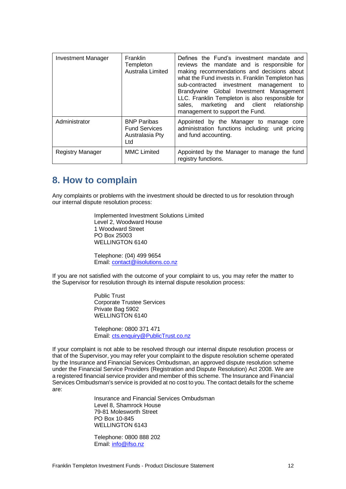| <b>Investment Manager</b> | <b>Franklin</b><br>Templeton<br>Australia Limited                    | Defines the Fund's investment mandate and<br>reviews the mandate and is responsible for<br>making recommendations and decisions about<br>what the Fund invests in. Franklin Templeton has<br>sub-contracted investment management to<br>Brandywine Global Investment Management<br>LLC. Franklin Templeton is also responsible for<br>marketing and client relationship<br>sales.<br>management to support the Fund. |
|---------------------------|----------------------------------------------------------------------|----------------------------------------------------------------------------------------------------------------------------------------------------------------------------------------------------------------------------------------------------------------------------------------------------------------------------------------------------------------------------------------------------------------------|
| Administrator             | <b>BNP Paribas</b><br><b>Fund Services</b><br>Australasia Pty<br>Ltd | Appointed by the Manager to manage core<br>administration functions including: unit pricing<br>and fund accounting.                                                                                                                                                                                                                                                                                                  |
| <b>Registry Manager</b>   | <b>MMC Limited</b>                                                   | Appointed by the Manager to manage the fund<br>registry functions.                                                                                                                                                                                                                                                                                                                                                   |

# **8. How to complain**

Any complaints or problems with the investment should be directed to us for resolution through our internal dispute resolution process:

> Implemented Investment Solutions Limited Level 2, Woodward House 1 Woodward Street PO Box 25003 WELLINGTON 6140

Telephone: (04) 499 9654 Email: [contact@iisolutions.co.nz](mailto:contact@iisolutions.co.nz)

If you are not satisfied with the outcome of your complaint to us, you may refer the matter to the Supervisor for resolution through its internal dispute resolution process:

> Public Trust Corporate Trustee Services Private Bag 5902 WELLINGTON 6140

Telephone: 0800 371 471 Email: [cts.enquiry@PublicTrust.co.nz](mailto:cts.enquiry@PublicTrust.co.nz)

If your complaint is not able to be resolved through our internal dispute resolution process or that of the Supervisor, you may refer your complaint to the dispute resolution scheme operated by the Insurance and Financial Services Ombudsman, an approved dispute resolution scheme under the Financial Service Providers (Registration and Dispute Resolution) Act 2008. We are a registered financial service provider and member of this scheme. The Insurance and Financial Services Ombudsman's service is provided at no cost to you. The contact details for the scheme are:

> Insurance and Financial Services Ombudsman Level 8, Shamrock House 79-81 Molesworth Street PO Box 10-845 WELLINGTON 6143

Telephone: 0800 888 202 Email: [info@ifso.nz](mailto:info@ifso.nz)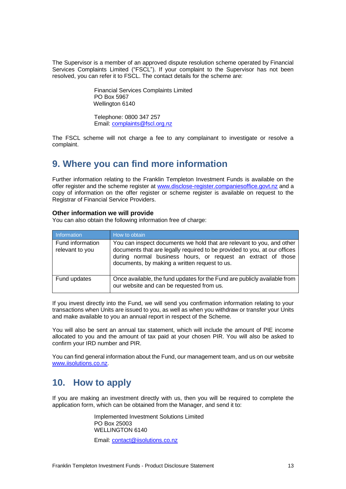The Supervisor is a member of an approved dispute resolution scheme operated by Financial Services Complaints Limited ("FSCL"). If your complaint to the Supervisor has not been resolved, you can refer it to FSCL. The contact details for the scheme are:

> Financial Services Complaints Limited PO Box 5967 Wellington 6140

Telephone: 0800 347 257 Email: [complaints@fscl.org.nz](mailto:complaints@fscl.org.nz)

The FSCL scheme will not charge a fee to any complainant to investigate or resolve a complaint.

### **9. Where you can find more information**

Further information relating to the Franklin Templeton Investment Funds is available on the offer register and the scheme register at [www.disclose-register.companiesoffice.govt.nz](http://www.disclose-register.companiesoffice.govt.nz/) and a copy of information on the offer register or scheme register is available on request to the Registrar of Financial Service Providers.

### **Other information we will provide**

You can also obtain the following information free of charge:

| Information                         | How to obtain                                                                                                                                                                                                                                                       |
|-------------------------------------|---------------------------------------------------------------------------------------------------------------------------------------------------------------------------------------------------------------------------------------------------------------------|
| Fund information<br>relevant to you | You can inspect documents we hold that are relevant to you, and other<br>documents that are legally required to be provided to you, at our offices<br>during normal business hours, or request an extract of those<br>documents, by making a written request to us. |
| Fund updates                        | Once available, the fund updates for the Fund are publicly available from<br>our website and can be requested from us.                                                                                                                                              |

If you invest directly into the Fund, we will send you confirmation information relating to your transactions when Units are issued to you, as well as when you withdraw or transfer your Units and make available to you an annual report in respect of the Scheme.

You will also be sent an annual tax statement, which will include the amount of PIE income allocated to you and the amount of tax paid at your chosen PIR. You will also be asked to confirm your IRD number and PIR.

You can find general information about the Fund, our management team, and us on our website [www.iisolutions.co.nz](http://www.iisolutions.co.nz/).

# <span id="page-12-0"></span>**10. How to apply**

If you are making an investment directly with us, then you will be required to complete the application form, which can be obtained from the Manager, and send it to:

> Implemented Investment Solutions Limited PO Box 25003 WELLINGTON 6140

Email: [contact@iisolutions.co.nz](mailto:contact@iisolutions.co.nz)